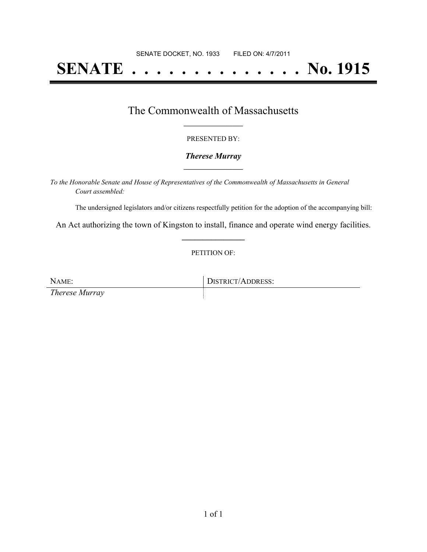# **SENATE . . . . . . . . . . . . . . No. 1915**

### The Commonwealth of Massachusetts **\_\_\_\_\_\_\_\_\_\_\_\_\_\_\_\_\_**

#### PRESENTED BY:

#### *Therese Murray* **\_\_\_\_\_\_\_\_\_\_\_\_\_\_\_\_\_**

*To the Honorable Senate and House of Representatives of the Commonwealth of Massachusetts in General Court assembled:*

The undersigned legislators and/or citizens respectfully petition for the adoption of the accompanying bill:

An Act authorizing the town of Kingston to install, finance and operate wind energy facilities. **\_\_\_\_\_\_\_\_\_\_\_\_\_\_\_**

#### PETITION OF:

NAME: DISTRICT/ADDRESS: *Therese Murray*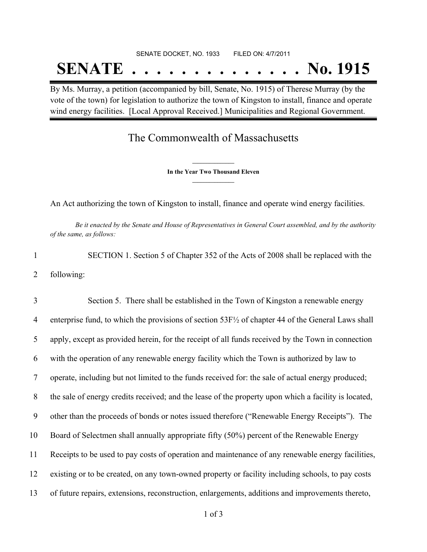# SENATE DOCKET, NO. 1933 FILED ON: 4/7/2011 **SENATE . . . . . . . . . . . . . . No. 1915**

By Ms. Murray, a petition (accompanied by bill, Senate, No. 1915) of Therese Murray (by the vote of the town) for legislation to authorize the town of Kingston to install, finance and operate wind energy facilities. [Local Approval Received.] Municipalities and Regional Government.

## The Commonwealth of Massachusetts

**\_\_\_\_\_\_\_\_\_\_\_\_\_\_\_ In the Year Two Thousand Eleven \_\_\_\_\_\_\_\_\_\_\_\_\_\_\_**

An Act authorizing the town of Kingston to install, finance and operate wind energy facilities.

Be it enacted by the Senate and House of Representatives in General Court assembled, and by the authority *of the same, as follows:*

1 SECTION 1. Section 5 of Chapter 352 of the Acts of 2008 shall be replaced with the 2 following:

3 Section 5. There shall be established in the Town of Kingston a renewable energy enterprise fund, to which the provisions of section 53F½ of chapter 44 of the General Laws shall apply, except as provided herein, for the receipt of all funds received by the Town in connection with the operation of any renewable energy facility which the Town is authorized by law to operate, including but not limited to the funds received for: the sale of actual energy produced; the sale of energy credits received; and the lease of the property upon which a facility is located, other than the proceeds of bonds or notes issued therefore ("Renewable Energy Receipts"). The Board of Selectmen shall annually appropriate fifty (50%) percent of the Renewable Energy Receipts to be used to pay costs of operation and maintenance of any renewable energy facilities, existing or to be created, on any town-owned property or facility including schools, to pay costs of future repairs, extensions, reconstruction, enlargements, additions and improvements thereto,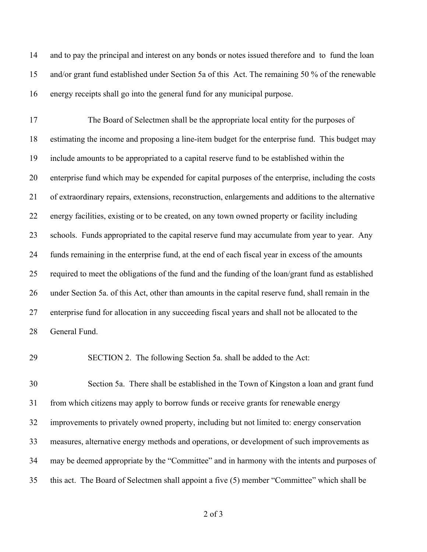and to pay the principal and interest on any bonds or notes issued therefore and to fund the loan and/or grant fund established under Section 5a of this Act. The remaining 50 % of the renewable energy receipts shall go into the general fund for any municipal purpose.

17 The Board of Selectmen shall be the appropriate local entity for the purposes of estimating the income and proposing a line-item budget for the enterprise fund. This budget may include amounts to be appropriated to a capital reserve fund to be established within the enterprise fund which may be expended for capital purposes of the enterprise, including the costs of extraordinary repairs, extensions, reconstruction, enlargements and additions to the alternative energy facilities, existing or to be created, on any town owned property or facility including schools. Funds appropriated to the capital reserve fund may accumulate from year to year. Any funds remaining in the enterprise fund, at the end of each fiscal year in excess of the amounts required to meet the obligations of the fund and the funding of the loan/grant fund as established under Section 5a. of this Act, other than amounts in the capital reserve fund, shall remain in the enterprise fund for allocation in any succeeding fiscal years and shall not be allocated to the General Fund.

29 SECTION 2. The following Section 5a. shall be added to the Act:

30 Section 5a. There shall be established in the Town of Kingston a loan and grant fund from which citizens may apply to borrow funds or receive grants for renewable energy improvements to privately owned property, including but not limited to: energy conservation measures, alternative energy methods and operations, or development of such improvements as may be deemed appropriate by the "Committee" and in harmony with the intents and purposes of this act. The Board of Selectmen shall appoint a five (5) member "Committee" which shall be

of 3